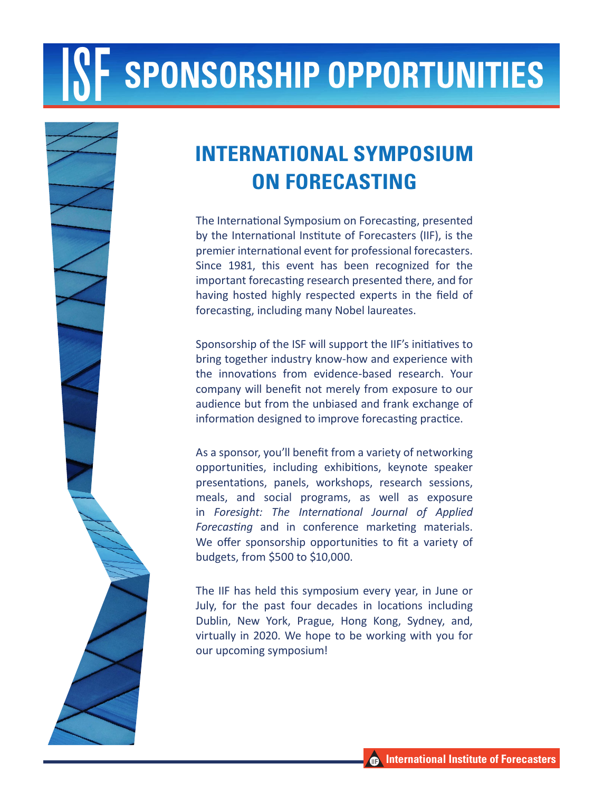# **SPONSORSHIP OPPORTUNITIES**



### **INTERNATIONAL SYMPOSIUM ON FORECASTING**

The International Symposium on Forecasting, presented by the International Institute of Forecasters (IIF), is the premier international event for professional forecasters. Since 1981, this event has been recognized for the important forecasting research presented there, and for having hosted highly respected experts in the field of forecasting, including many Nobel laureates.

ves to<br>e with<br>Your<br>to our<br>nge of<br>tice. Sponsorship of the ISF will support the IIF's initiatives to bring together industry know-how and experience with the innovations from evidence-based research. Your company will benefit not merely from exposure to our audience but from the unbiased and frank exchange of information designed to improve forecasting practice.

As a sponsor, you'll benefit from a variety of networking opportunities, including exhibitions, keynote speaker presentations, panels, workshops, research sessions, meals, and social programs, as well as exposure in *Foresight: The International Journal of Applied Forecasting* and in conference marketing materials. We offer sponsorship opportunities to fit a variety of budgets, from \$500 to \$10,000.

The IIF has held this symposium every year, in June or July, for the past four decades in locations including Dublin, New York, Prague, Hong Kong, Sydney, and, virtually in 2020. We hope to be working with you for our upcoming symposium!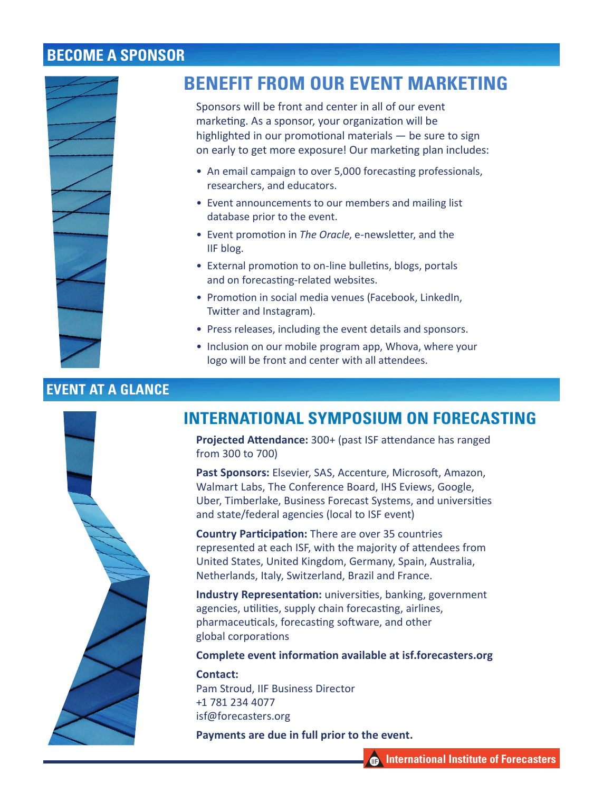#### **BECOME A SPONSOR**



#### **BENEFIT FROM OUR EVENT MARKETING**

Sponsors will be front and center in all of our event marketing. As a sponsor, your organization will be highlighted in our promotional materials — be sure to sign on early to get more exposure! Our marketing plan includes:

- An email campaign to over 5,000 forecasting professionals, researchers, and educators.
- Event announcements to our members and mailing list database prior to the event.
- Event promotion in *The Oracle*, e-newsletter, and the IIF blog.
- External promotion to on-line bulletins, blogs, portals and on forecasting-related websites.
- Promotion in social media venues (Facebook, LinkedIn, Twitter and Instagram).
- Press releases, including the event details and sponsors.
- Inclusion on our mobile program app, Whova, where your logo will be front and center with all attendees.

#### **EVENT AT A GLANCE**



#### **INTERNATIONAL SYMPOSIUM ON FORECASTING**

**Projected Attendance:** 300+ (past ISF attendance has ranged from 300 to 700)

**Past Sponsors:** Elsevier, SAS, Accenture, Microsoft, Amazon, Walmart Labs, The Conference Board, IHS Eviews, Google, Uber, Timberlake, Business Forecast Systems, and universities and state/federal agencies (local to ISF event)

**Country Participation:** There are over 35 countries represented at each ISF, with the majority of attendees from United States, United Kingdom, Germany, Spain, Australia, Netherlands, Italy, Switzerland, Brazil and France.

**Industry Representation:** universities, banking, government agencies, utilities, supply chain forecasting, airlines, pharmaceuticals, forecasting software, and other global corporations

**Complete event information available at isf.forecasters.org**

**Contact:** Pam Stroud, IIF Business Director +1 781 234 4077 isf@forecasters.org

**Payments are due in full prior to the event.**